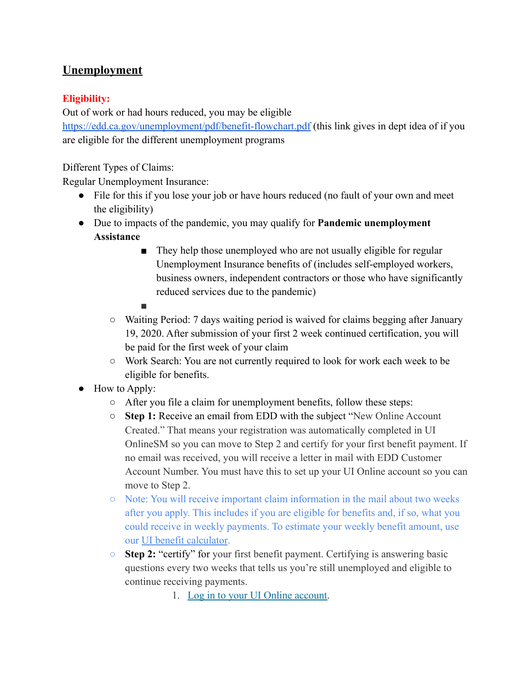# **Unemployment**

## **Eligibility:**

Out of work or had hours reduced, you may be eligible <https://edd.ca.gov/unemployment/pdf/benefit-flowchart.pdf> (this link gives in dept idea of if you are eligible for the different unemployment programs

Different Types of Claims:

Regular Unemployment Insurance:

- File for this if you lose your job or have hours reduced (no fault of your own and meet the eligibility)
- Due to impacts of the pandemic, you may qualify for **Pandemic unemployment Assistance**
	- They help those unemployed who are not usually eligible for regular Unemployment Insurance benefits of (includes self-employed workers, business owners, independent contractors or those who have significantly reduced services due to the pandemic)
	- ■
	- Waiting Period: 7 days waiting period is waived for claims begging after January 19, 2020. After submission of your first 2 week continued certification, you will be paid for the first week of your claim
	- Work Search: You are not currently required to look for work each week to be eligible for benefits.
- How to Apply:
	- After you file a claim for unemployment benefits, follow these steps:
	- **Step 1:** Receive an email from EDD with the subject "New Online Account Created." That means your registration was automatically completed in UI OnlineSM so you can move to Step 2 and certify for your first benefit payment. If no email was received, you will receive a letter in mail with EDD Customer Account Number. You must have this to set up your UI Online account so you can move to Step 2.
	- Note: You will receive important claim information in the mail about two weeks after you apply. This includes if you are eligible for benefits and, if so, what you could receive in weekly payments. To estimate your weekly benefit amount, use our [UI benefit calculator](https://edd.ca.gov/unemployment/UI-Calculator.htm).
	- **Step 2:** "certify" for your first benefit payment. Certifying is answering basic questions every two weeks that tells us you're still unemployed and eligible to continue receiving payments.

1. [Log in to your UI Online account.](https://portal.edd.ca.gov/WebApp/Login?resource_url=https%3A%2F%2Fportal.edd.ca.gov%2FWebApp%2FHome)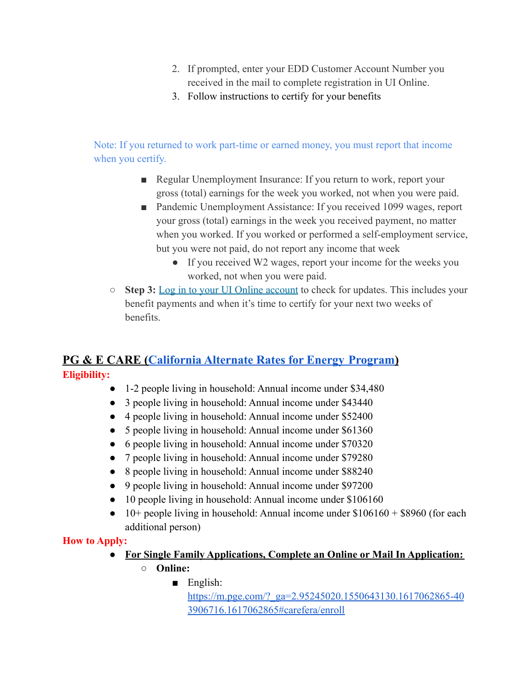- 2. If prompted, enter your EDD Customer Account Number you received in the mail to complete registration in UI Online.
- 3. Follow instructions to certify for your benefits

Note: If you returned to work part-time or earned money, you must report that income when you certify.

- Regular Unemployment Insurance: If you return to work, report your gross (total) earnings for the week you worked, not when you were paid.
- Pandemic Unemployment Assistance: If you received 1099 wages, report your gross (total) earnings in the week you received payment, no matter when you worked. If you worked or performed a self-employment service, but you were not paid, do not report any income that week
	- If you received W2 wages, report your income for the weeks you worked, not when you were paid.
- **Step 3:** [Log in to your UI Online account](https://portal.edd.ca.gov/WebApp/Login?resource_url=https%3A%2F%2Fportal.edd.ca.gov%2FWebApp%2FHome) to check for updates. This includes your benefit payments and when it's time to certify for your next two weeks of benefits.

# **PG & E CARE ([California](https://www.pge.com/en_US/residential/save-energy-money/help-paying-your-bill/longer-term-assistance/care/care.page?WT.mc_id=Vanity_carefera) Alternate Rates for Energy Program)**

**Eligibility:**

- 1-2 people living in household: Annual income under \$34,480
- 3 people living in household: Annual income under \$43440
- 4 people living in household: Annual income under \$52400
- 5 people living in household: Annual income under \$61360
- 6 people living in household: Annual income under \$70320
- 7 people living in household: Annual income under \$79280
- 8 people living in household: Annual income under \$88240
- 9 people living in household: Annual income under \$97200
- 10 people living in household: Annual income under \$106160
- $\bullet$  10+ people living in household: Annual income under \$106160 + \$8960 (for each additional person)

# **How to Apply:**

- **● For Single Family Applications, Complete an Online or Mail In Application:**
	- **○ Online:**
		- English: [https://m.pge.com/?\\_ga=2.95245020.1550643130.1617062865-40](https://m.pge.com/?_ga=2.95245020.1550643130.1617062865-403906716.1617062865#carefera/enroll) [3906716.1617062865#carefera/enroll](https://m.pge.com/?_ga=2.95245020.1550643130.1617062865-403906716.1617062865#carefera/enroll)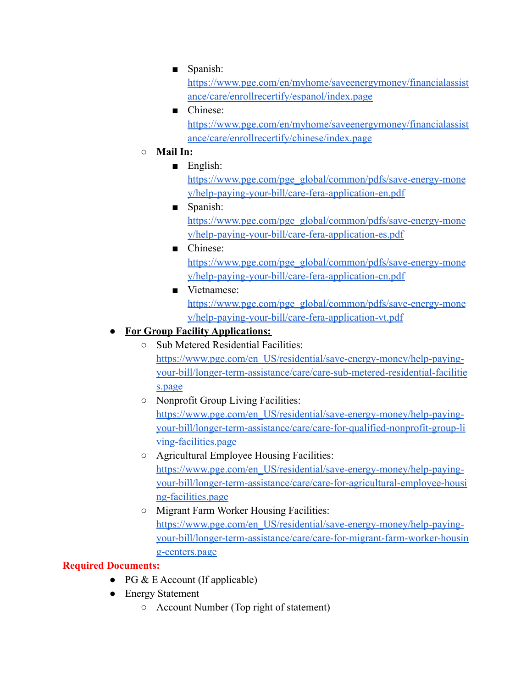■ Spanish:

[https://www.pge.com/en/myhome/saveenergymoney/financialassist](https://www.pge.com/en/myhome/saveenergymoney/financialassistance/care/enrollrecertify/espanol/index.page) [ance/care/enrollrecertify/espanol/index.page](https://www.pge.com/en/myhome/saveenergymoney/financialassistance/care/enrollrecertify/espanol/index.page)

- Chinese: [https://www.pge.com/en/myhome/saveenergymoney/financialassist](https://www.pge.com/en/myhome/saveenergymoney/financialassistance/care/enrollrecertify/chinese/index.page) [ance/care/enrollrecertify/chinese/index.page](https://www.pge.com/en/myhome/saveenergymoney/financialassistance/care/enrollrecertify/chinese/index.page)
- **○ Mail In:**
	- English:

[https://www.pge.com/pge\\_global/common/pdfs/save-energy-mone](https://www.pge.com/pge_global/common/pdfs/save-energy-money/help-paying-your-bill/care-fera-application-en.pdf) [y/help-paying-your-bill/care-fera-application-en.pdf](https://www.pge.com/pge_global/common/pdfs/save-energy-money/help-paying-your-bill/care-fera-application-en.pdf)

- Spanish: [https://www.pge.com/pge\\_global/common/pdfs/save-energy-mone](https://www.pge.com/pge_global/common/pdfs/save-energy-money/help-paying-your-bill/care-fera-application-es.pdf) [y/help-paying-your-bill/care-fera-application-es.pdf](https://www.pge.com/pge_global/common/pdfs/save-energy-money/help-paying-your-bill/care-fera-application-es.pdf)
- Chinese: [https://www.pge.com/pge\\_global/common/pdfs/save-energy-mone](https://www.pge.com/pge_global/common/pdfs/save-energy-money/help-paying-your-bill/care-fera-application-cn.pdf) [y/help-paying-your-bill/care-fera-application-cn.pdf](https://www.pge.com/pge_global/common/pdfs/save-energy-money/help-paying-your-bill/care-fera-application-cn.pdf)
- Vietnamese: [https://www.pge.com/pge\\_global/common/pdfs/save-energy-mone](https://www.pge.com/pge_global/common/pdfs/save-energy-money/help-paying-your-bill/care-fera-application-vt.pdf) [y/help-paying-your-bill/care-fera-application-vt.pdf](https://www.pge.com/pge_global/common/pdfs/save-energy-money/help-paying-your-bill/care-fera-application-vt.pdf)

# **● For Group Facility Applications:**

- Sub Metered Residential Facilities: [https://www.pge.com/en\\_US/residential/save-energy-money/help-paying](https://www.pge.com/en_US/residential/save-energy-money/help-paying-your-bill/longer-term-assistance/care/care-sub-metered-residential-facilities.page)[your-bill/longer-term-assistance/care/care-sub-metered-residential-facilitie](https://www.pge.com/en_US/residential/save-energy-money/help-paying-your-bill/longer-term-assistance/care/care-sub-metered-residential-facilities.page) [s.page](https://www.pge.com/en_US/residential/save-energy-money/help-paying-your-bill/longer-term-assistance/care/care-sub-metered-residential-facilities.page)
- Nonprofit Group Living Facilities: [https://www.pge.com/en\\_US/residential/save-energy-money/help-paying](https://www.pge.com/en_US/residential/save-energy-money/help-paying-your-bill/longer-term-assistance/care/care-for-qualified-nonprofit-group-living-facilities.page)[your-bill/longer-term-assistance/care/care-for-qualified-nonprofit-group-li](https://www.pge.com/en_US/residential/save-energy-money/help-paying-your-bill/longer-term-assistance/care/care-for-qualified-nonprofit-group-living-facilities.page) [ving-facilities.page](https://www.pge.com/en_US/residential/save-energy-money/help-paying-your-bill/longer-term-assistance/care/care-for-qualified-nonprofit-group-living-facilities.page)
- Agricultural Employee Housing Facilities: [https://www.pge.com/en\\_US/residential/save-energy-money/help-paying](https://www.pge.com/en_US/residential/save-energy-money/help-paying-your-bill/longer-term-assistance/care/care-for-agricultural-employee-housing-facilities.page)[your-bill/longer-term-assistance/care/care-for-agricultural-employee-housi](https://www.pge.com/en_US/residential/save-energy-money/help-paying-your-bill/longer-term-assistance/care/care-for-agricultural-employee-housing-facilities.page) [ng-facilities.page](https://www.pge.com/en_US/residential/save-energy-money/help-paying-your-bill/longer-term-assistance/care/care-for-agricultural-employee-housing-facilities.page)
- Migrant Farm Worker Housing Facilities: [https://www.pge.com/en\\_US/residential/save-energy-money/help-paying](https://www.pge.com/en_US/residential/save-energy-money/help-paying-your-bill/longer-term-assistance/care/care-for-migrant-farm-worker-housing-centers.page)[your-bill/longer-term-assistance/care/care-for-migrant-farm-worker-housin](https://www.pge.com/en_US/residential/save-energy-money/help-paying-your-bill/longer-term-assistance/care/care-for-migrant-farm-worker-housing-centers.page) [g-centers.page](https://www.pge.com/en_US/residential/save-energy-money/help-paying-your-bill/longer-term-assistance/care/care-for-migrant-farm-worker-housing-centers.page)

# **Required Documents:**

- PG & E Account (If applicable)
- Energy Statement
	- Account Number (Top right of statement)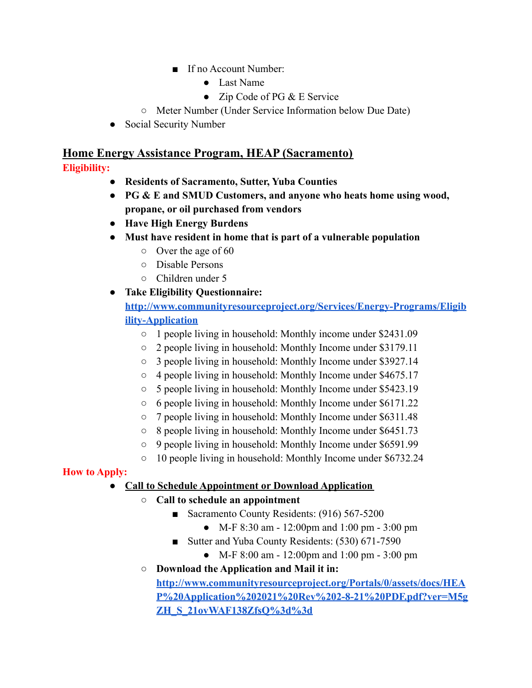- If no Account Number:
	- Last Name
	- Zip Code of PG & E Service
- Meter Number (Under Service Information below Due Date)
- Social Security Number

# **Home Energy Assistance Program, HEAP (Sacramento)**

## **Eligibility:**

- **● Residents of Sacramento, Sutter, Yuba Counties**
- **● PG & E and SMUD Customers, and anyone who heats home using wood, propane, or oil purchased from vendors**
- **● Have High Energy Burdens**
- **● Must have resident in home that is part of a vulnerable population**
	- Over the age of 60
	- Disable Persons
	- Children under 5
- **● Take Eligibility Questionnaire:**

**[http://www.communityresourceproject.org/Services/Energy-Programs/Eligib](http://www.communityresourceproject.org/Services/Energy-Programs/Eligibility-Application) [ility-Application](http://www.communityresourceproject.org/Services/Energy-Programs/Eligibility-Application)**

- 1 people living in household: Monthly income under \$2431.09
- 2 people living in household: Monthly Income under \$3179.11
- 3 people living in household: Monthly Income under \$3927.14
- 4 people living in household: Monthly Income under \$4675.17
- 5 people living in household: Monthly Income under \$5423.19
- 6 people living in household: Monthly Income under \$6171.22
- 7 people living in household: Monthly Income under \$6311.48
- 8 people living in household: Monthly Income under \$6451.73
- 9 people living in household: Monthly Income under \$6591.99
- 10 people living in household: Monthly Income under \$6732.24

## **How to Apply:**

## **● Call to Schedule Appointment or Download Application**

- **○ Call to schedule an appointment**
	- Sacramento County Residents: (916) 567-5200
		- M-F 8:30 am 12:00pm and 1:00 pm 3:00 pm
	- Sutter and Yuba County Residents: (530) 671-7590
		- M-F 8:00 am 12:00pm and 1:00 pm 3:00 pm
	- **○ Download the Application and Mail it in:**

**[http://www.communityresourceproject.org/Portals/0/assets/docs/HEA](http://www.communityresourceproject.org/Portals/0/assets/docs/HEAP%20Application%202021%20Rev%202-8-21%20PDF.pdf?ver=M5gZH_S_21ovWAF138ZfsQ%3d%3d) [P%20Application%202021%20Rev%202-8-21%20PDF.pdf?ver=M5g](http://www.communityresourceproject.org/Portals/0/assets/docs/HEAP%20Application%202021%20Rev%202-8-21%20PDF.pdf?ver=M5gZH_S_21ovWAF138ZfsQ%3d%3d) [ZH\\_S\\_21ovWAF138ZfsQ%3d%3d](http://www.communityresourceproject.org/Portals/0/assets/docs/HEAP%20Application%202021%20Rev%202-8-21%20PDF.pdf?ver=M5gZH_S_21ovWAF138ZfsQ%3d%3d)**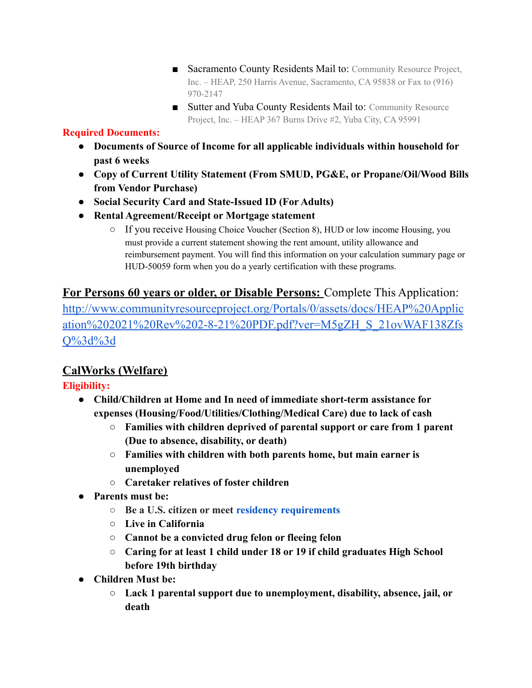- Sacramento County Residents Mail to: Community Resource Project, Inc. – HEAP, 250 Harris Avenue, Sacramento, CA 95838 or Fax to (916) 970-2147
- Sutter and Yuba County Residents Mail to: Community Resource Project, Inc. – HEAP 367 Burns Drive #2, Yuba City, CA 95991

## **Required Documents:**

- **● Documents of Source of Income for all applicable individuals within household for past 6 weeks**
- **● Copy of Current Utility Statement (From SMUD, PG&E, or Propane/Oil/Wood Bills from Vendor Purchase)**
- **● Social Security Card and State-Issued ID (For Adults)**
- **● Rental Agreement/Receipt or Mortgage statement**
	- If you receive Housing Choice Voucher (Section 8), HUD or low income Housing, you must provide a current statement showing the rent amount, utility allowance and reimbursement payment. You will find this information on your calculation summary page or HUD-50059 form when you do a yearly certification with these programs.

# **For Persons 60 years or older, or Disable Persons:** Complete This Application:

[http://www.communityresourceproject.org/Portals/0/assets/docs/HEAP%20Applic](http://www.communityresourceproject.org/Portals/0/assets/docs/HEAP%20Application%202021%20Rev%202-8-21%20PDF.pdf?ver=M5gZH_S_21ovWAF138ZfsQ%3d%3d) [ation%202021%20Rev%202-8-21%20PDF.pdf?ver=M5gZH\\_S\\_21ovWAF138Zfs](http://www.communityresourceproject.org/Portals/0/assets/docs/HEAP%20Application%202021%20Rev%202-8-21%20PDF.pdf?ver=M5gZH_S_21ovWAF138ZfsQ%3d%3d) [Q%3d%3d](http://www.communityresourceproject.org/Portals/0/assets/docs/HEAP%20Application%202021%20Rev%202-8-21%20PDF.pdf?ver=M5gZH_S_21ovWAF138ZfsQ%3d%3d)

# **CalWorks (Welfare)**

# **Eligibility:**

- **● Child/Children at Home and In need of immediate short-term assistance for expenses (Housing/Food/Utilities/Clothing/Medical Care) due to lack of cash**
	- **○ Families with children deprived of parental support or care from 1 parent (Due to absence, disability, or death)**
	- **○ Families with children with both parents home, but main earner is unemployed**
	- **○ Caretaker relatives of foster children**
- **● Parents must be:**
	- **Be a U.S. citizen or meet [residency requirements](https://ca.db101.org/glossary.htm#_q1377)**
	- **○ Live in California**
	- **○ Cannot be a convicted drug felon or fleeing felon**
	- **○ Caring for at least 1 child under 18 or 19 if child graduates High School before 19th birthday**
- **● Children Must be:**
	- **○ Lack 1 parental support due to unemployment, disability, absence, jail, or death**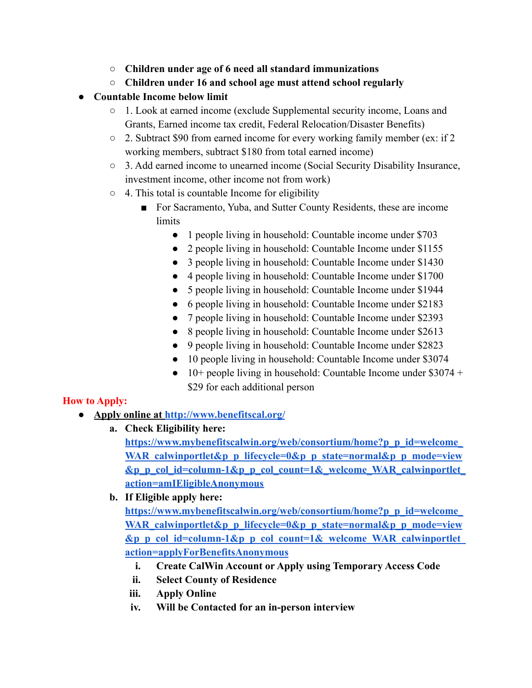- **○ Children under age of 6 need all standard immunizations**
- **○ Children under 16 and school age must attend school regularly**
- **● Countable Income below limit**
	- 1. Look at earned income (exclude Supplemental security income, Loans and Grants, Earned income tax credit, Federal Relocation/Disaster Benefits)
	- 2. Subtract \$90 from earned income for every working family member (ex: if 2 working members, subtract \$180 from total earned income)
	- 3. Add earned income to unearned income (Social Security Disability Insurance, investment income, other income not from work)
	- $\circ$  4. This total is countable Income for eligibility
		- For Sacramento, Yuba, and Sutter County Residents, these are income limits
			- 1 people living in household: Countable income under \$703
			- 2 people living in household: Countable Income under \$1155
			- 3 people living in household: Countable Income under \$1430
			- 4 people living in household: Countable Income under \$1700
			- 5 people living in household: Countable Income under \$1944
			- 6 people living in household: Countable Income under \$2183
			- 7 people living in household: Countable Income under \$2393
			- 8 people living in household: Countable Income under \$2613
			- 9 people living in household: Countable Income under \$2823
			- 10 people living in household: Countable Income under \$3074
			- $\bullet$  10+ people living in household: Countable Income under \$3074 + \$29 for each additional person

## **How to Apply:**

- **● Apply online at <http://www.benefitscal.org/>**
	- **a. Check Eligibility here:**

**[https://www.mybenefitscalwin.org/web/consortium/home?p\\_p\\_id=welcome\\_](https://www.mybenefitscalwin.org/web/consortium/home?p_p_id=welcome_WAR_calwinportlet&p_p_lifecycle=0&p_p_state=normal&p_p_mode=view&p_p_col_id=column-1&p_p_col_count=1&_welcome_WAR_calwinportlet_action=amIEligibleAnonymous)** WAR calwinportlet&p p\_lifecycle=0&p\_p\_state=normal&p\_p\_mode=view **[&p\\_p\\_col\\_id=column-1&p\\_p\\_col\\_count=1&\\_welcome\\_WAR\\_calwinportlet\\_](https://www.mybenefitscalwin.org/web/consortium/home?p_p_id=welcome_WAR_calwinportlet&p_p_lifecycle=0&p_p_state=normal&p_p_mode=view&p_p_col_id=column-1&p_p_col_count=1&_welcome_WAR_calwinportlet_action=amIEligibleAnonymous) [action=amIEligibleAnonymous](https://www.mybenefitscalwin.org/web/consortium/home?p_p_id=welcome_WAR_calwinportlet&p_p_lifecycle=0&p_p_state=normal&p_p_mode=view&p_p_col_id=column-1&p_p_col_count=1&_welcome_WAR_calwinportlet_action=amIEligibleAnonymous)**

**b. If Eligible apply here:**

**[https://www.mybenefitscalwin.org/web/consortium/home?p\\_p\\_id=welcome\\_](https://www.mybenefitscalwin.org/web/consortium/home?p_p_id=welcome_WAR_calwinportlet&p_p_lifecycle=0&p_p_state=normal&p_p_mode=view&p_p_col_id=column-1&p_p_col_count=1&_welcome_WAR_calwinportlet_action=applyForBenefitsAnonymous) WAR** calwinportlet&p p\_lifecycle=0&p\_p\_state=normal&p\_p\_mode=view **[&p\\_p\\_col\\_id=column-1&p\\_p\\_col\\_count=1&\\_welcome\\_WAR\\_calwinportlet\\_](https://www.mybenefitscalwin.org/web/consortium/home?p_p_id=welcome_WAR_calwinportlet&p_p_lifecycle=0&p_p_state=normal&p_p_mode=view&p_p_col_id=column-1&p_p_col_count=1&_welcome_WAR_calwinportlet_action=applyForBenefitsAnonymous) [action=applyForBenefitsAnonymous](https://www.mybenefitscalwin.org/web/consortium/home?p_p_id=welcome_WAR_calwinportlet&p_p_lifecycle=0&p_p_state=normal&p_p_mode=view&p_p_col_id=column-1&p_p_col_count=1&_welcome_WAR_calwinportlet_action=applyForBenefitsAnonymous)**

- **i. Create CalWin Account or Apply using Temporary Access Code**
- **ii. Select County of Residence**
- **iii. Apply Online**
- **iv. Will be Contacted for an in-person interview**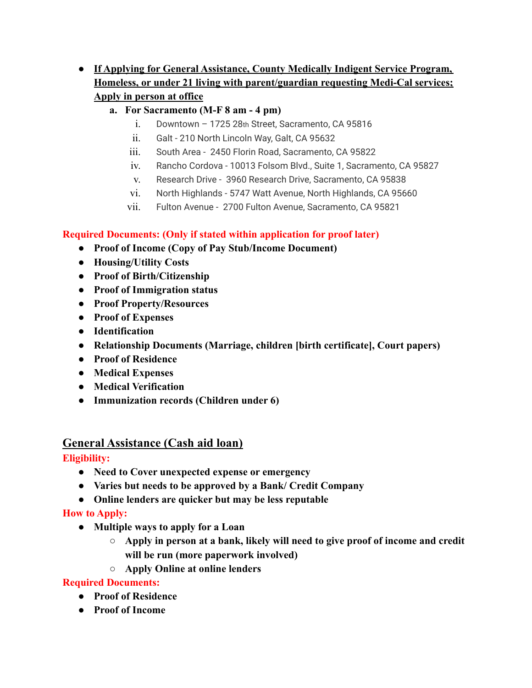- **● If Applying for General Assistance, County Medically Indigent Service Program, Homeless, or under 21 living with parent/guardian requesting Medi-Cal services; Apply in person at office**
	- **a. For Sacramento (M-F 8 am 4 pm)**
		- i. Downtown 1725 28th Street, Sacramento, CA 95816
		- ii. Galt 210 North Lincoln Way, Galt, CA 95632
		- iii. South Area 2450 Florin Road, Sacramento, CA 95822
		- iv. Rancho Cordova 10013 Folsom Blvd., Suite 1, Sacramento, CA 95827
		- v. Research Drive 3960 Research Drive, Sacramento, CA 95838
		- vi. North Highlands 5747 Watt Avenue, North Highlands, CA 95660
		- vii. Fulton Avenue 2700 Fulton Avenue, Sacramento, CA 95821

## **Required Documents: (Only if stated within application for proof later)**

- **● Proof of Income (Copy of Pay Stub/Income Document)**
- **● Housing/Utility Costs**
- **● Proof of Birth/Citizenship**
- **● Proof of Immigration status**
- **● Proof Property/Resources**
- **● Proof of Expenses**
- **● Identification**
- **● Relationship Documents (Marriage, children [birth certificate], Court papers)**
- **● Proof of Residence**
- **● Medical Expenses**
- **● Medical Verification**
- **● Immunization records (Children under 6)**

# **General Assistance (Cash aid loan)**

## **Eligibility:**

- **● Need to Cover unexpected expense or emergency**
- **● Varies but needs to be approved by a Bank/ Credit Company**
- **● Online lenders are quicker but may be less reputable**

# **How to Apply:**

- **● Multiple ways to apply for a Loan**
	- **○ Apply in person at a bank, likely will need to give proof of income and credit will be run (more paperwork involved)**
	- **○ Apply Online at online lenders**

## **Required Documents:**

- **● Proof of Residence**
- **● Proof of Income**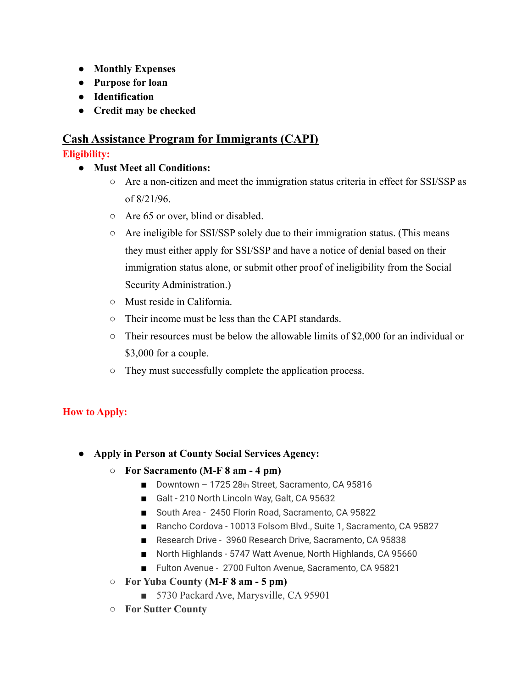- **● Monthly Expenses**
- **● Purpose for loan**
- **● Identification**
- **● Credit may be checked**

# **Cash Assistance Program for Immigrants (CAPI) Eligibility:**

## **● Must Meet all Conditions:**

- Are a non-citizen and meet the immigration status criteria in effect for SSI/SSP as of 8/21/96.
- Are 65 or over, blind or disabled.
- Are ineligible for SSI/SSP solely due to their immigration status. (This means they must either apply for SSI/SSP and have a notice of denial based on their immigration status alone, or submit other proof of ineligibility from the Social Security Administration.)
- Must reside in California.
- Their income must be less than the CAPI standards.
- Their resources must be below the allowable limits of \$2,000 for an individual or \$3,000 for a couple.
- They must successfully complete the application process.

# **How to Apply:**

- **● Apply in Person at County Social Services Agency:**
	- **○ For Sacramento (M-F 8 am 4 pm)**
		- Downtown 1725 28th Street, Sacramento, CA 95816
		- Galt 210 North Lincoln Way, Galt, CA 95632
		- South Area 2450 Florin Road, Sacramento, CA 95822
		- Rancho Cordova 10013 Folsom Blvd., Suite 1, Sacramento, CA 95827
		- Research Drive 3960 Research Drive, Sacramento, CA 95838
		- North Highlands 5747 Watt Avenue, North Highlands, CA 95660
		- Fulton Avenue 2700 Fulton Avenue, Sacramento, CA 95821
	- **○ For Yuba County (M-F 8 am 5 pm)**
		- 5730 Packard Ave, Marysville, CA 95901
	- **○ For Sutter County**